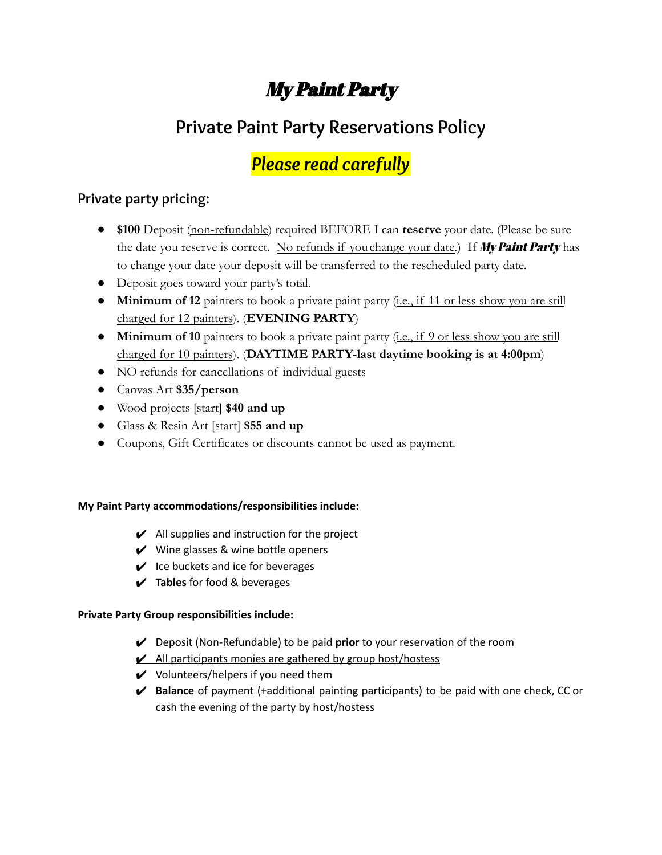# My Paint Party

# **Private Paint Party Reservations Policy**

# *Please read carefully*

# **Private party pricing:**

- **\$100** Deposit (non-refundable) required BEFORE I can **reserve** your date. (Please be sure the date you reserve is correct. No refunds if you change your date.) If My Paint Party has to change your date your deposit will be transferred to the rescheduled party date.
- Deposit goes toward your party's total.
- **Minimum of 12** painters to book a private paint party (i.e., if 11 or less show you are still charged for 12 painters). (**EVENING PARTY**)
- **Minimum of 10** painters to book a private paint party (i.e., if 9 or less show you are still charged for 10 painters). (**DAYTIME PARTY-last daytime booking is at 4:00pm**)
- NO refunds for cancellations of individual guests
- Canvas Art **\$35/person**
- Wood projects [start] **\$40 and up**
- Glass & Resin Art [start] **\$55 and up**
- Coupons, Gift Certificates or discounts cannot be used as payment.

#### **My Paint Party accommodations/responsibilities include:**

- $\boldsymbol{\checkmark}$  All supplies and instruction for the project
- $\vee$  Wine glasses & wine bottle openers
- $\vee$  Ice buckets and ice for beverages
- ✔ **Tables** for food & beverages

## **Private Party Group responsibilities include:**

- ✔ Deposit (Non-Refundable) to be paid **prior** to your reservation of the room
- $\angle$  All participants monies are gathered by group host/hostess
- $\mathcal V$  Volunteers/helpers if you need them
- ✔ **Balance** of payment (+additional painting participants) to be paid with one check, CC or cash the evening of the party by host/hostess